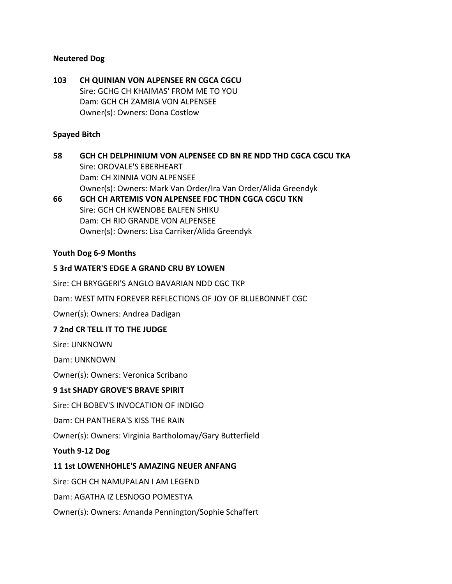#### **Neutered Dog**

**103 CH QUINIAN VON ALPENSEE RN CGCA CGCU** Sire: GCHG CH KHAIMAS' FROM ME TO YOU Dam: GCH CH ZAMBIA VON ALPENSEE Owner(s): Owners: Dona Costlow

#### **Spayed Bitch**

**58 GCH CH DELPHINIUM VON ALPENSEE CD BN RE NDD THD CGCA CGCU TKA** Sire: OROVALE'S EBERHEART Dam: CH XINNIA VON ALPENSEE Owner(s): Owners: Mark Van Order/Ira Van Order/Alida Greendyk

**66 GCH CH ARTEMIS VON ALPENSEE FDC THDN CGCA CGCU TKN** Sire: GCH CH KWENOBE BALFEN SHIKU Dam: CH RIO GRANDE VON ALPENSEE Owner(s): Owners: Lisa Carriker/Alida Greendyk

#### **Youth Dog 6-9 Months**

## **5 3rd WATER'S EDGE A GRAND CRU BY LOWEN**

Sire: CH BRYGGERI'S ANGLO BAVARIAN NDD CGC TKP

Dam: WEST MTN FOREVER REFLECTIONS OF JOY OF BLUEBONNET CGC

Owner(s): Owners: Andrea Dadigan

#### **7 2nd CR TELL IT TO THE JUDGE**

Sire: UNKNOWN

Dam: UNKNOWN

Owner(s): Owners: Veronica Scribano

#### **9 1st SHADY GROVE'S BRAVE SPIRIT**

Sire: CH BOBEV'S INVOCATION OF INDIGO

Dam: CH PANTHERA'S KISS THE RAIN

Owner(s): Owners: Virginia Bartholomay/Gary Butterfield

**Youth 9-12 Dog**

#### **11 1st LOWENHOHLE'S AMAZING NEUER ANFANG**

Sire: GCH CH NAMUPALAN I AM LEGEND

Dam: AGATHA IZ LESNOGO POMESTYA

Owner(s): Owners: Amanda Pennington/Sophie Schaffert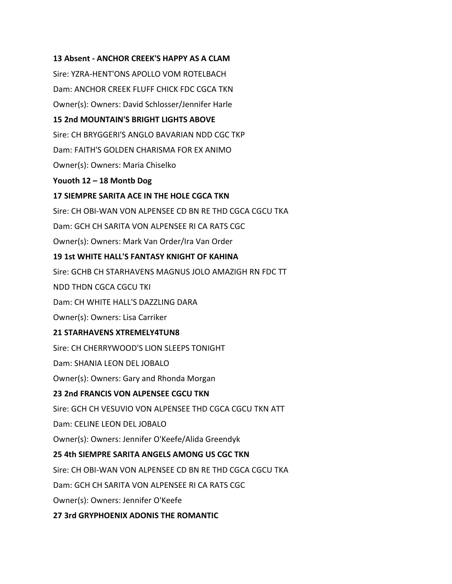## **13 Absent - ANCHOR CREEK'S HAPPY AS A CLAM**

Sire: YZRA-HENT'ONS APOLLO VOM ROTELBACH Dam: ANCHOR CREEK FLUFF CHICK FDC CGCA TKN Owner(s): Owners: David Schlosser/Jennifer Harle **15 2nd MOUNTAIN'S BRIGHT LIGHTS ABOVE** Sire: CH BRYGGERI'S ANGLO BAVARIAN NDD CGC TKP Dam: FAITH'S GOLDEN CHARISMA FOR EX ANIMO Owner(s): Owners: Maria Chiselko **Youoth 12 – 18 Montb Dog 17 SIEMPRE SARITA ACE IN THE HOLE CGCA TKN** Sire: CH OBI-WAN VON ALPENSEE CD BN RE THD CGCA CGCU TKA Dam: GCH CH SARITA VON ALPENSEE RI CA RATS CGC Owner(s): Owners: Mark Van Order/Ira Van Order **19 1st WHITE HALL'S FANTASY KNIGHT OF KAHINA** Sire: GCHB CH STARHAVENS MAGNUS JOLO AMAZIGH RN FDC TT NDD THDN CGCA CGCU TKI Dam: CH WHITE HALL'S DAZZLING DARA Owner(s): Owners: Lisa Carriker **21 STARHAVENS XTREMELY4TUN8** Sire: CH CHERRYWOOD'S LION SLEEPS TONIGHT Dam: SHANIA LEON DEL JOBALO Owner(s): Owners: Gary and Rhonda Morgan **23 2nd FRANCIS VON ALPENSEE CGCU TKN** Sire: GCH CH VESUVIO VON ALPENSEE THD CGCA CGCU TKN ATT Dam: CELINE LEON DEL JOBALO Owner(s): Owners: Jennifer O'Keefe/Alida Greendyk **25 4th SIEMPRE SARITA ANGELS AMONG US CGC TKN** Sire: CH OBI-WAN VON ALPENSEE CD BN RE THD CGCA CGCU TKA Dam: GCH CH SARITA VON ALPENSEE RI CA RATS CGC Owner(s): Owners: Jennifer O'Keefe **27 3rd GRYPHOENIX ADONIS THE ROMANTIC**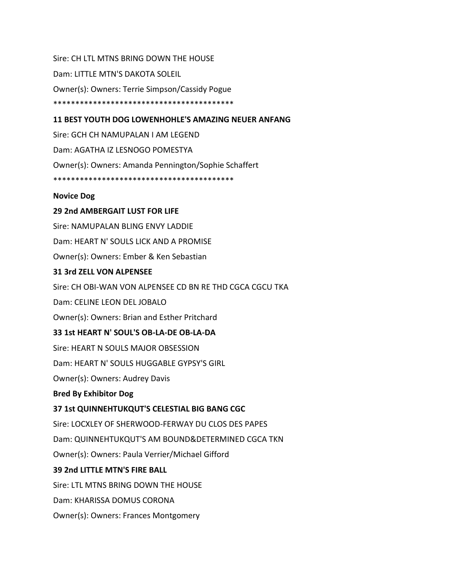Sire: CH LTL MTNS BRING DOWN THE HOUSE Dam: LITTLE MTN'S DAKOTA SOLEIL Owner(s): Owners: Terrie Simpson/Cassidy Pogue \*\*\*\*\*\*\*\*\*\*\*\*\*\*\*\*\*\*\*\*\*\*\*\*\*\*\*\*\*\*\*\*\*\*\*\*\*\*\*\*\*

## **11 BEST YOUTH DOG LOWENHOHLE'S AMAZING NEUER ANFANG**

Sire: GCH CH NAMUPALAN I AM LEGEND Dam: AGATHA IZ LESNOGO POMESTYA Owner(s): Owners: Amanda Pennington/Sophie Schaffert \*\*\*\*\*\*\*\*\*\*\*\*\*\*\*\*\*\*\*\*\*\*\*\*\*\*\*\*\*\*\*\*\*\*\*\*\*\*\*\*\*

#### **Novice Dog**

#### **29 2nd AMBERGAIT LUST FOR LIFE**

Sire: NAMUPALAN BLING ENVY LADDIE

Dam: HEART N' SOULS LICK AND A PROMISE

Owner(s): Owners: Ember & Ken Sebastian

#### **31 3rd ZELL VON ALPENSEE**

Sire: CH OBI-WAN VON ALPENSEE CD BN RE THD CGCA CGCU TKA

Dam: CELINE LEON DEL JOBALO

Owner(s): Owners: Brian and Esther Pritchard

#### **33 1st HEART N' SOUL'S OB-LA-DE OB-LA-DA**

Sire: HEART N SOULS MAJOR OBSESSION

Dam: HEART N' SOULS HUGGABLE GYPSY'S GIRL

Owner(s): Owners: Audrey Davis

#### **Bred By Exhibitor Dog**

#### **37 1st QUINNEHTUKQUT'S CELESTIAL BIG BANG CGC**

Sire: LOCXLEY OF SHERWOOD-FERWAY DU CLOS DES PAPES

Dam: QUINNEHTUKQUT'S AM BOUND&DETERMINED CGCA TKN

Owner(s): Owners: Paula Verrier/Michael Gifford

#### **39 2nd LITTLE MTN'S FIRE BALL**

Sire: LTL MTNS BRING DOWN THE HOUSE

Dam: KHARISSA DOMUS CORONA

Owner(s): Owners: Frances Montgomery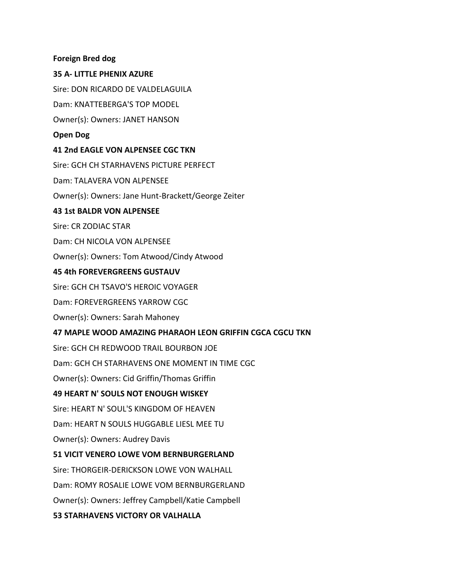#### **Foreign Bred dog**

#### **35 A- LITTLE PHENIX AZURE**

Sire: DON RICARDO DE VALDELAGUILA

Dam: KNATTEBERGA'S TOP MODEL

Owner(s): Owners: JANET HANSON

#### **Open Dog**

#### **41 2nd EAGLE VON ALPENSEE CGC TKN**

Sire: GCH CH STARHAVENS PICTURE PERFECT Dam: TALAVERA VON ALPENSEE Owner(s): Owners: Jane Hunt-Brackett/George Zeiter **43 1st BALDR VON ALPENSEE** Sire: CR ZODIAC STAR Dam: CH NICOLA VON ALPENSEE Owner(s): Owners: Tom Atwood/Cindy Atwood **45 4th FOREVERGREENS GUSTAUV** Sire: GCH CH TSAVO'S HEROIC VOYAGER Dam: FOREVERGREENS YARROW CGC Owner(s): Owners: Sarah Mahoney **47 MAPLE WOOD AMAZING PHARAOH LEON GRIFFIN CGCA CGCU TKN** Sire: GCH CH REDWOOD TRAIL BOURBON JOE Dam: GCH CH STARHAVENS ONE MOMENT IN TIME CGC Owner(s): Owners: Cid Griffin/Thomas Griffin **49 HEART N' SOULS NOT ENOUGH WISKEY** Sire: HEART N' SOUL'S KINGDOM OF HEAVEN Dam: HEART N SOULS HUGGABLE LIESL MEE TU Owner(s): Owners: Audrey Davis **51 VICIT VENERO LOWE VOM BERNBURGERLAND** Sire: THORGEIR-DERICKSON LOWE VON WALHALL Dam: ROMY ROSALIE LOWE VOM BERNBURGERLAND Owner(s): Owners: Jeffrey Campbell/Katie Campbell

## **53 STARHAVENS VICTORY OR VALHALLA**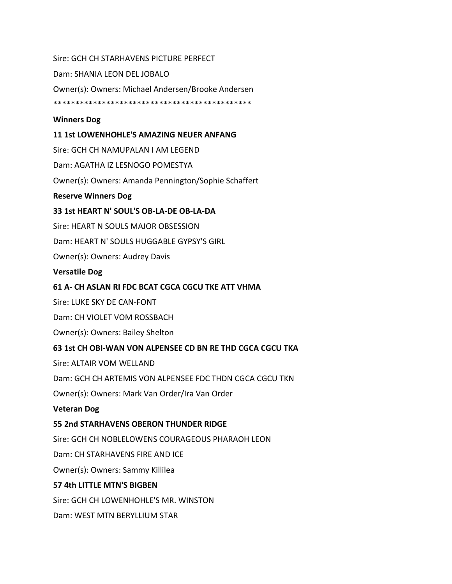Sire: GCH CH STARHAVENS PICTURE PERFECT Dam: SHANIA LEON DEL JOBALO Owner(s): Owners: Michael Andersen/Brooke Andersen \*\*\*\*\*\*\*\*\*\*\*\*\*\*\*\*\*\*\*\*\*\*\*\*\*\*\*\*\*\*\*\*\*\*\*\*\*\*\*\*\*\*\*\*\* **Winners Dog 11 1st LOWENHOHLE'S AMAZING NEUER ANFANG** Sire: GCH CH NAMUPALAN I AM LEGEND Dam: AGATHA IZ LESNOGO POMESTYA Owner(s): Owners: Amanda Pennington/Sophie Schaffert **Reserve Winners Dog 33 1st HEART N' SOUL'S OB-LA-DE OB-LA-DA** Sire: HEART N SOULS MAJOR OBSESSION Dam: HEART N' SOULS HUGGABLE GYPSY'S GIRL Owner(s): Owners: Audrey Davis **Versatile Dog 61 A- CH ASLAN RI FDC BCAT CGCA CGCU TKE ATT VHMA**

Sire: LUKE SKY DE CAN-FONT

Dam: CH VIOLET VOM ROSSBACH

Owner(s): Owners: Bailey Shelton

#### **63 1st CH OBI-WAN VON ALPENSEE CD BN RE THD CGCA CGCU TKA**

Sire: ALTAIR VOM WELLAND

Dam: GCH CH ARTEMIS VON ALPENSEE FDC THDN CGCA CGCU TKN

Owner(s): Owners: Mark Van Order/Ira Van Order

#### **Veteran Dog**

#### **55 2nd STARHAVENS OBERON THUNDER RIDGE**

Sire: GCH CH NOBLELOWENS COURAGEOUS PHARAOH LEON

Dam: CH STARHAVENS FIRE AND ICE

Owner(s): Owners: Sammy Killilea

#### **57 4th LITTLE MTN'S BIGBEN**

Sire: GCH CH LOWENHOHLE'S MR. WINSTON

Dam: WEST MTN BERYLLIUM STAR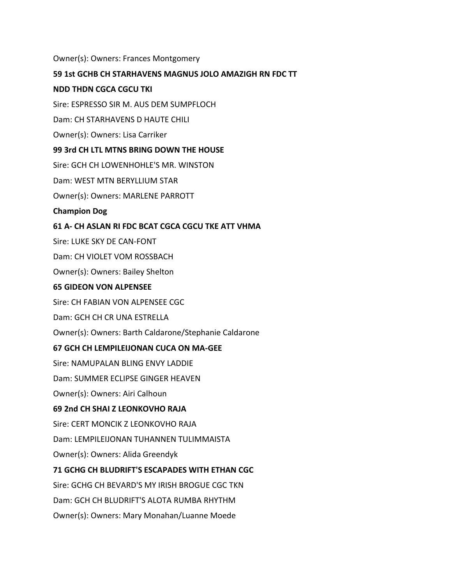#### Owner(s): Owners: Frances Montgomery

#### **59 1st GCHB CH STARHAVENS MAGNUS JOLO AMAZIGH RN FDC TT**

#### **NDD THDN CGCA CGCU TKI**

Sire: ESPRESSO SIR M. AUS DEM SUMPFLOCH

Dam: CH STARHAVENS D HAUTE CHILI

Owner(s): Owners: Lisa Carriker

#### **99 3rd CH LTL MTNS BRING DOWN THE HOUSE**

Sire: GCH CH LOWENHOHLE'S MR. WINSTON

Dam: WEST MTN BERYLLIUM STAR

Owner(s): Owners: MARLENE PARROTT

**Champion Dog**

#### **61 A- CH ASLAN RI FDC BCAT CGCA CGCU TKE ATT VHMA**

Sire: LUKE SKY DE CAN-FONT

Dam: CH VIOLET VOM ROSSBACH

Owner(s): Owners: Bailey Shelton

#### **65 GIDEON VON ALPENSEE**

Sire: CH FABIAN VON ALPENSEE CGC

Dam: GCH CH CR UNA ESTRELLA

Owner(s): Owners: Barth Caldarone/Stephanie Caldarone

#### **67 GCH CH LEMPILEIJONAN CUCA ON MA-GEE**

Sire: NAMUPALAN BLING ENVY LADDIE

Dam: SUMMER ECLIPSE GINGER HEAVEN

Owner(s): Owners: Airi Calhoun

#### **69 2nd CH SHAI Z LEONKOVHO RAJA**

Sire: CERT MONCIK Z LEONKOVHO RAJA

Dam: LEMPILEIJONAN TUHANNEN TULIMMAISTA

Owner(s): Owners: Alida Greendyk

#### **71 GCHG CH BLUDRIFT'S ESCAPADES WITH ETHAN CGC**

Sire: GCHG CH BEVARD'S MY IRISH BROGUE CGC TKN

Dam: GCH CH BLUDRIFT'S ALOTA RUMBA RHYTHM

Owner(s): Owners: Mary Monahan/Luanne Moede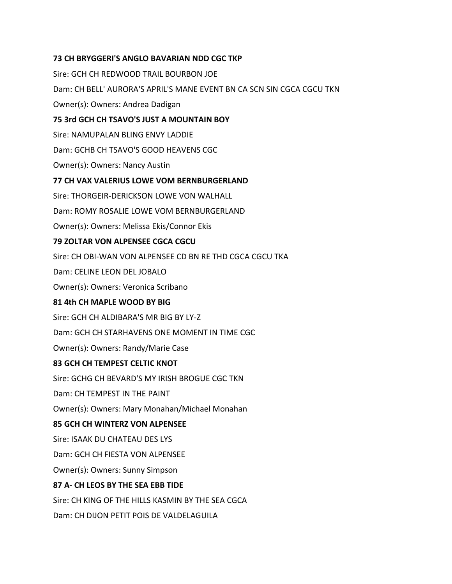## **73 CH BRYGGERI'S ANGLO BAVARIAN NDD CGC TKP**

Sire: GCH CH REDWOOD TRAIL BOURBON JOE Dam: CH BELL' AURORA'S APRIL'S MANE EVENT BN CA SCN SIN CGCA CGCU TKN Owner(s): Owners: Andrea Dadigan **75 3rd GCH CH TSAVO'S JUST A MOUNTAIN BOY** Sire: NAMUPALAN BLING ENVY LADDIE Dam: GCHB CH TSAVO'S GOOD HEAVENS CGC Owner(s): Owners: Nancy Austin **77 CH VAX VALERIUS LOWE VOM BERNBURGERLAND** Sire: THORGEIR-DERICKSON LOWE VON WALHALL Dam: ROMY ROSALIE LOWE VOM BERNBURGERLAND Owner(s): Owners: Melissa Ekis/Connor Ekis **79 ZOLTAR VON ALPENSEE CGCA CGCU** Sire: CH OBI-WAN VON ALPENSEE CD BN RE THD CGCA CGCU TKA Dam: CELINE LEON DEL JOBALO Owner(s): Owners: Veronica Scribano **81 4th CH MAPLE WOOD BY BIG** Sire: GCH CH ALDIBARA'S MR BIG BY LY-Z Dam: GCH CH STARHAVENS ONE MOMENT IN TIME CGC Owner(s): Owners: Randy/Marie Case **83 GCH CH TEMPEST CELTIC KNOT** Sire: GCHG CH BEVARD'S MY IRISH BROGUE CGC TKN Dam: CH TEMPEST IN THE PAINT Owner(s): Owners: Mary Monahan/Michael Monahan **85 GCH CH WINTERZ VON ALPENSEE** Sire: ISAAK DU CHATEAU DES LYS Dam: GCH CH FIESTA VON ALPENSEE Owner(s): Owners: Sunny Simpson **87 A- CH LEOS BY THE SEA EBB TIDE** Sire: CH KING OF THE HILLS KASMIN BY THE SEA CGCA Dam: CH DIJON PETIT POIS DE VALDELAGUILA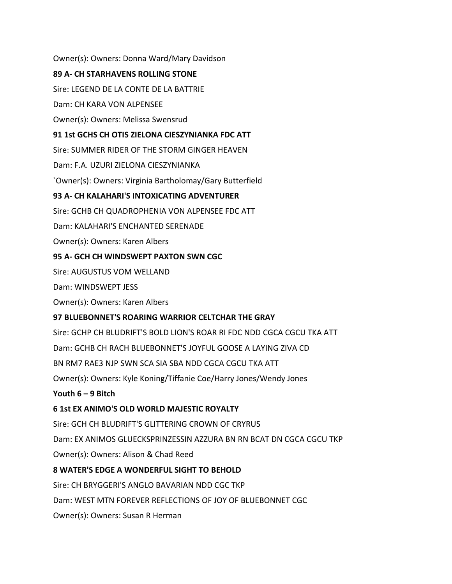Owner(s): Owners: Donna Ward/Mary Davidson **89 A- CH STARHAVENS ROLLING STONE** Sire: LEGEND DE LA CONTE DE LA BATTRIE Dam: CH KARA VON ALPENSEE Owner(s): Owners: Melissa Swensrud **91 1st GCHS CH OTIS ZIELONA CIESZYNIANKA FDC ATT** Sire: SUMMER RIDER OF THE STORM GINGER HEAVEN Dam: F.A. UZURI ZIELONA CIESZYNIANKA `Owner(s): Owners: Virginia Bartholomay/Gary Butterfield **93 A- CH KALAHARI'S INTOXICATING ADVENTURER** Sire: GCHB CH QUADROPHENIA VON ALPENSEE FDC ATT Dam: KALAHARI'S ENCHANTED SERENADE Owner(s): Owners: Karen Albers **95 A- GCH CH WINDSWEPT PAXTON SWN CGC** Sire: AUGUSTUS VOM WELLAND Dam: WINDSWEPT JESS Owner(s): Owners: Karen Albers **97 BLUEBONNET'S ROARING WARRIOR CELTCHAR THE GRAY** Sire: GCHP CH BLUDRIFT'S BOLD LION'S ROAR RI FDC NDD CGCA CGCU TKA ATT Dam: GCHB CH RACH BLUEBONNET'S JOYFUL GOOSE A LAYING ZIVA CD BN RM7 RAE3 NJP SWN SCA SIA SBA NDD CGCA CGCU TKA ATT Owner(s): Owners: Kyle Koning/Tiffanie Coe/Harry Jones/Wendy Jones **Youth 6 – 9 Bitch 6 1st EX ANIMO'S OLD WORLD MAJESTIC ROYALTY** Sire: GCH CH BLUDRIFT'S GLITTERING CROWN OF CRYRUS Dam: EX ANIMOS GLUECKSPRINZESSIN AZZURA BN RN BCAT DN CGCA CGCU TKP Owner(s): Owners: Alison & Chad Reed **8 WATER'S EDGE A WONDERFUL SIGHT TO BEHOLD** Sire: CH BRYGGERI'S ANGLO BAVARIAN NDD CGC TKP Dam: WEST MTN FOREVER REFLECTIONS OF JOY OF BLUEBONNET CGC Owner(s): Owners: Susan R Herman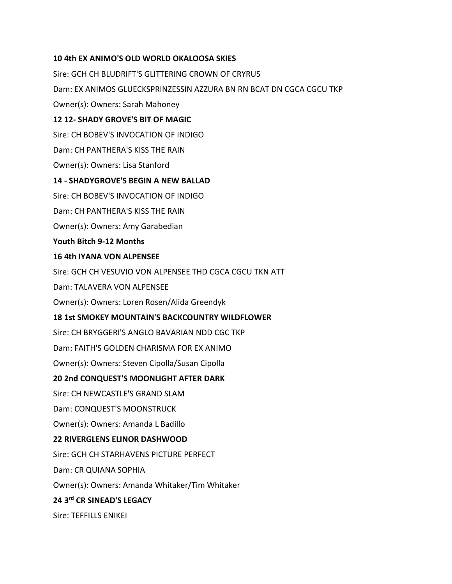## **10 4th EX ANIMO'S OLD WORLD OKALOOSA SKIES**

Sire: GCH CH BLUDRIFT'S GLITTERING CROWN OF CRYRUS Dam: EX ANIMOS GLUECKSPRINZESSIN AZZURA BN RN BCAT DN CGCA CGCU TKP Owner(s): Owners: Sarah Mahoney **12 12- SHADY GROVE'S BIT OF MAGIC** Sire: CH BOBEV'S INVOCATION OF INDIGO Dam: CH PANTHERA'S KISS THE RAIN Owner(s): Owners: Lisa Stanford **14 - SHADYGROVE'S BEGIN A NEW BALLAD** Sire: CH BOBEV'S INVOCATION OF INDIGO Dam: CH PANTHERA'S KISS THE RAIN Owner(s): Owners: Amy Garabedian **Youth Bitch 9-12 Months 16 4th IYANA VON ALPENSEE** Sire: GCH CH VESUVIO VON ALPENSEE THD CGCA CGCU TKN ATT Dam: TALAVERA VON ALPENSEE Owner(s): Owners: Loren Rosen/Alida Greendyk **18 1st SMOKEY MOUNTAIN'S BACKCOUNTRY WILDFLOWER** Sire: CH BRYGGERI'S ANGLO BAVARIAN NDD CGC TKP Dam: FAITH'S GOLDEN CHARISMA FOR EX ANIMO Owner(s): Owners: Steven Cipolla/Susan Cipolla **20 2nd CONQUEST'S MOONLIGHT AFTER DARK** Sire: CH NEWCASTLE'S GRAND SLAM Dam: CONQUEST'S MOONSTRUCK Owner(s): Owners: Amanda L Badillo **22 RIVERGLENS ELINOR DASHWOOD** Sire: GCH CH STARHAVENS PICTURE PERFECT Dam: CR QUIANA SOPHIA Owner(s): Owners: Amanda Whitaker/Tim Whitaker **24 3rd CR SINEAD'S LEGACY** Sire: TEFFILLS ENIKEI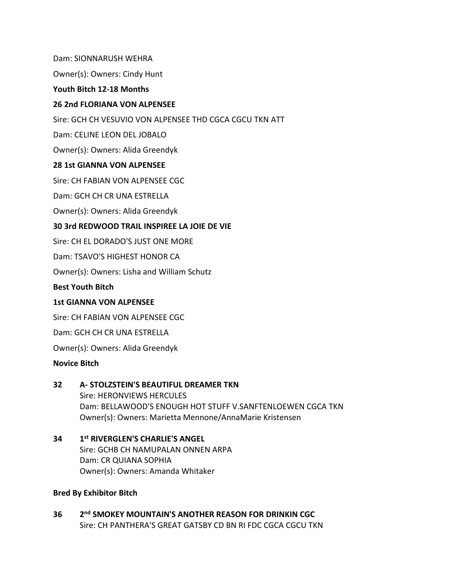Dam: SIONNARUSH WEHRA

Owner(s): Owners: Cindy Hunt

#### **Youth Bitch 12-18 Months**

## **26 2nd FLORIANA VON ALPENSEE**

Sire: GCH CH VESUVIO VON ALPENSEE THD CGCA CGCU TKN ATT

Dam: CELINE LEON DEL JOBALO

Owner(s): Owners: Alida Greendyk

## **28 1st GIANNA VON ALPENSEE**

Sire: CH FABIAN VON ALPENSEE CGC

Dam: GCH CH CR UNA ESTRELLA

Owner(s): Owners: Alida Greendyk

## **30 3rd REDWOOD TRAIL INSPIREE LA JOIE DE VIE**

Sire: CH EL DORADO'S JUST ONE MORE

Dam: TSAVO'S HIGHEST HONOR CA

Owner(s): Owners: Lisha and William Schutz

#### **Best Youth Bitch**

#### **1st GIANNA VON ALPENSEE**

Sire: CH FABIAN VON ALPENSEE CGC

Dam: GCH CH CR UNA ESTRELLA

Owner(s): Owners: Alida Greendyk

#### **Novice Bitch**

#### **32 A- STOLZSTEIN'S BEAUTIFUL DREAMER TKN**

Sire: HERONVIEWS HERCULES Dam: BELLAWOOD'S ENOUGH HOT STUFF V.SANFTENLOEWEN CGCA TKN Owner(s): Owners: Marietta Mennone/AnnaMarie Kristensen

#### **34 1 st RIVERGLEN'S CHARLIE'S ANGEL** Sire: GCHB CH NAMUPALAN ONNEN ARPA Dam: CR QUIANA SOPHIA Owner(s): Owners: Amanda Whitaker

## **Bred By Exhibitor Bitch**

**36 2** 2<sup>nd</sup> SMOKEY MOUNTAIN'S ANOTHER REASON FOR DRINKIN CGC Sire: CH PANTHERA'S GREAT GATSBY CD BN RI FDC CGCA CGCU TKN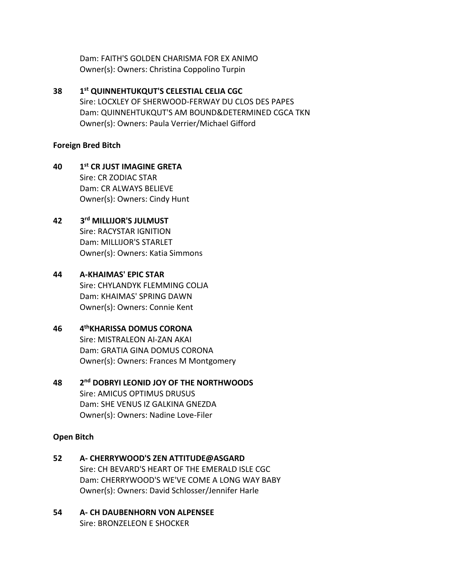Dam: FAITH'S GOLDEN CHARISMA FOR EX ANIMO Owner(s): Owners: Christina Coppolino Turpin

**38 1 st QUINNEHTUKQUT'S CELESTIAL CELIA CGC** Sire: LOCXLEY OF SHERWOOD-FERWAY DU CLOS DES PAPES Dam: QUINNEHTUKQUT'S AM BOUND&DETERMINED CGCA TKN Owner(s): Owners: Paula Verrier/Michael Gifford

## **Foreign Bred Bitch**

**40 1 st CR JUST IMAGINE GRETA** Sire: CR ZODIAC STAR Dam: CR ALWAYS BELIEVE Owner(s): Owners: Cindy Hunt

#### **42 3 rd MILLIJOR'S JULMUST**

Sire: RACYSTAR IGNITION Dam: MILLIJOR'S STARLET Owner(s): Owners: Katia Simmons

## **44 A-KHAIMAS' EPIC STAR**

Sire: CHYLANDYK FLEMMING COLJA Dam: KHAIMAS' SPRING DAWN Owner(s): Owners: Connie Kent

#### **46 4 thKHARISSA DOMUS CORONA**

Sire: MISTRALEON AI-ZAN AKAI Dam: GRATIA GINA DOMUS CORONA Owner(s): Owners: Frances M Montgomery

**48 2 nd DOBRYI LEONID JOY OF THE NORTHWOODS** Sire: AMICUS OPTIMUS DRUSUS Dam: SHE VENUS IZ GALKINA GNEZDA Owner(s): Owners: Nadine Love-Filer

## **Open Bitch**

- **52 A- CHERRYWOOD'S ZEN ATTITUDE@ASGARD** Sire: CH BEVARD'S HEART OF THE EMERALD ISLE CGC Dam: CHERRYWOOD'S WE'VE COME A LONG WAY BABY Owner(s): Owners: David Schlosser/Jennifer Harle
- **54 A- CH DAUBENHORN VON ALPENSEE** Sire: BRONZELEON E SHOCKER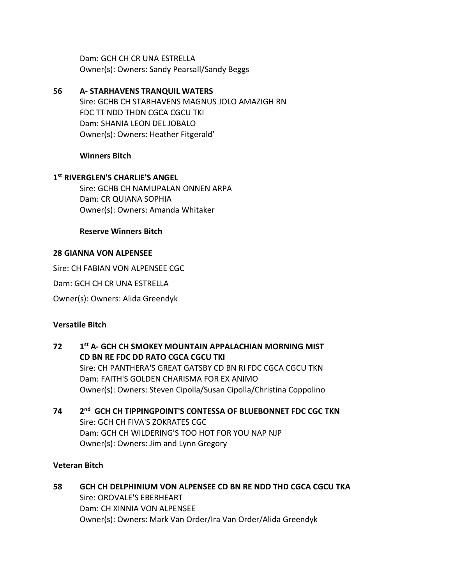Dam: GCH CH CR UNA ESTRELLA Owner(s): Owners: Sandy Pearsall/Sandy Beggs

**56 A- STARHAVENS TRANQUIL WATERS** Sire: GCHB CH STARHAVENS MAGNUS JOLO AMAZIGH RN FDC TT NDD THDN CGCA CGCU TKI Dam: SHANIA LEON DEL JOBALO Owner(s): Owners: Heather Fitgerald'

## **Winners Bitch**

## **1 st RIVERGLEN'S CHARLIE'S ANGEL**

Sire: GCHB CH NAMUPALAN ONNEN ARPA Dam: CR QUIANA SOPHIA Owner(s): Owners: Amanda Whitaker

## **Reserve Winners Bitch**

## **28 GIANNA VON ALPENSEE**

Sire: CH FABIAN VON ALPENSEE CGC

Dam: GCH CH CR UNA ESTRELLA

Owner(s): Owners: Alida Greendyk

## **Versatile Bitch**

- **72 1 st A- GCH CH SMOKEY MOUNTAIN APPALACHIAN MORNING MIST CD BN RE FDC DD RATO CGCA CGCU TKI** Sire: CH PANTHERA'S GREAT GATSBY CD BN RI FDC CGCA CGCU TKN Dam: FAITH'S GOLDEN CHARISMA FOR EX ANIMO Owner(s): Owners: Steven Cipolla/Susan Cipolla/Christina Coppolino
- **74 2 nd GCH CH TIPPINGPOINT'S CONTESSA OF BLUEBONNET FDC CGC TKN** Sire: GCH CH FIVA'S ZOKRATES CGC Dam: GCH CH WILDERING'S TOO HOT FOR YOU NAP NJP Owner(s): Owners: Jim and Lynn Gregory

#### **Veteran Bitch**

**58 GCH CH DELPHINIUM VON ALPENSEE CD BN RE NDD THD CGCA CGCU TKA** Sire: OROVALE'S EBERHEART Dam: CH XINNIA VON ALPENSEE Owner(s): Owners: Mark Van Order/Ira Van Order/Alida Greendyk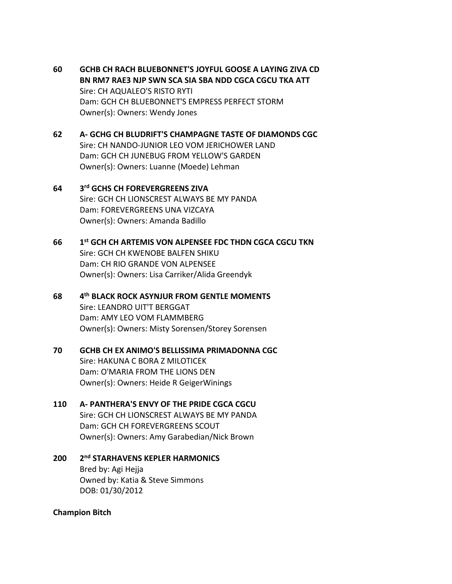- **60 GCHB CH RACH BLUEBONNET'S JOYFUL GOOSE A LAYING ZIVA CD BN RM7 RAE3 NJP SWN SCA SIA SBA NDD CGCA CGCU TKA ATT** Sire: CH AQUALEO'S RISTO RYTI Dam: GCH CH BLUEBONNET'S EMPRESS PERFECT STORM Owner(s): Owners: Wendy Jones
- **62 A- GCHG CH BLUDRIFT'S CHAMPAGNE TASTE OF DIAMONDS CGC** Sire: CH NANDO-JUNIOR LEO VOM JERICHOWER LAND Dam: GCH CH JUNEBUG FROM YELLOW'S GARDEN Owner(s): Owners: Luanne (Moede) Lehman
- **64 3 rd GCHS CH FOREVERGREENS ZIVA** Sire: GCH CH LIONSCREST ALWAYS BE MY PANDA Dam: FOREVERGREENS UNA VIZCAYA Owner(s): Owners: Amanda Badillo
- **66 1 st GCH CH ARTEMIS VON ALPENSEE FDC THDN CGCA CGCU TKN** Sire: GCH CH KWENOBE BALFEN SHIKU Dam: CH RIO GRANDE VON ALPENSEE Owner(s): Owners: Lisa Carriker/Alida Greendyk
- **68 4 th BLACK ROCK ASYNJUR FROM GENTLE MOMENTS** Sire: LEANDRO UIT'T BERGGAT Dam: AMY LEO VOM FLAMMBERG Owner(s): Owners: Misty Sorensen/Storey Sorensen
- **70 GCHB CH EX ANIMO'S BELLISSIMA PRIMADONNA CGC** Sire: HAKUNA C BORA Z MILOTICEK Dam: O'MARIA FROM THE LIONS DEN Owner(s): Owners: Heide R GeigerWinings
- **110 A- PANTHERA'S ENVY OF THE PRIDE CGCA CGCU** Sire: GCH CH LIONSCREST ALWAYS BE MY PANDA Dam: GCH CH FOREVERGREENS SCOUT Owner(s): Owners: Amy Garabedian/Nick Brown
- **200 2 nd STARHAVENS KEPLER HARMONICS** Bred by: Agi Hejja Owned by: Katia & Steve Simmons DOB: 01/30/2012

#### **Champion Bitch**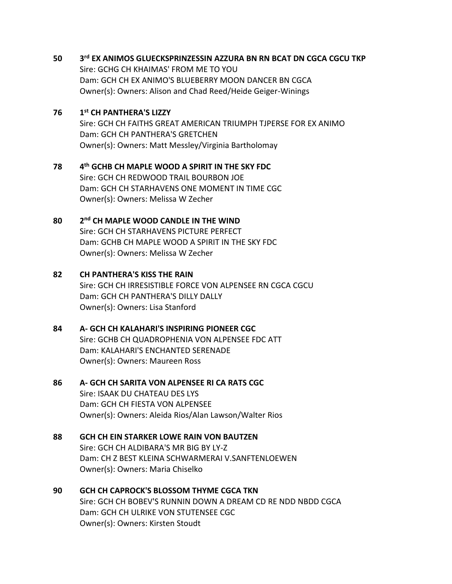#### **50 3 rd EX ANIMOS GLUECKSPRINZESSIN AZZURA BN RN BCAT DN CGCA CGCU TKP**

Sire: GCHG CH KHAIMAS' FROM ME TO YOU Dam: GCH CH EX ANIMO'S BLUEBERRY MOON DANCER BN CGCA Owner(s): Owners: Alison and Chad Reed/Heide Geiger-Winings

#### **76 1 st CH PANTHERA'S LIZZY**

Sire: GCH CH FAITHS GREAT AMERICAN TRIUMPH TJPERSE FOR EX ANIMO Dam: GCH CH PANTHERA'S GRETCHEN Owner(s): Owners: Matt Messley/Virginia Bartholomay

#### **78 4 th GCHB CH MAPLE WOOD A SPIRIT IN THE SKY FDC** Sire: GCH CH REDWOOD TRAIL BOURBON JOE Dam: GCH CH STARHAVENS ONE MOMENT IN TIME CGC

Owner(s): Owners: Melissa W Zecher

#### **80 2 nd CH MAPLE WOOD CANDLE IN THE WIND**

Sire: GCH CH STARHAVENS PICTURE PERFECT Dam: GCHB CH MAPLE WOOD A SPIRIT IN THE SKY FDC Owner(s): Owners: Melissa W Zecher

## **82 CH PANTHERA'S KISS THE RAIN**

Sire: GCH CH IRRESISTIBLE FORCE VON ALPENSEE RN CGCA CGCU Dam: GCH CH PANTHERA'S DILLY DALLY Owner(s): Owners: Lisa Stanford

## **84 A- GCH CH KALAHARI'S INSPIRING PIONEER CGC**

Sire: GCHB CH QUADROPHENIA VON ALPENSEE FDC ATT Dam: KALAHARI'S ENCHANTED SERENADE Owner(s): Owners: Maureen Ross

# **86 A- GCH CH SARITA VON ALPENSEE RI CA RATS CGC**

Sire: ISAAK DU CHATEAU DES LYS Dam: GCH CH FIESTA VON ALPENSEE Owner(s): Owners: Aleida Rios/Alan Lawson/Walter Rios

## **88 GCH CH EIN STARKER LOWE RAIN VON BAUTZEN**

Sire: GCH CH ALDIBARA'S MR BIG BY LY-Z Dam: CH Z BEST KLEINA SCHWARMERAI V.SANFTENLOEWEN Owner(s): Owners: Maria Chiselko

# **90 GCH CH CAPROCK'S BLOSSOM THYME CGCA TKN**

Sire: GCH CH BOBEV'S RUNNIN DOWN A DREAM CD RE NDD NBDD CGCA Dam: GCH CH ULRIKE VON STUTENSEE CGC Owner(s): Owners: Kirsten Stoudt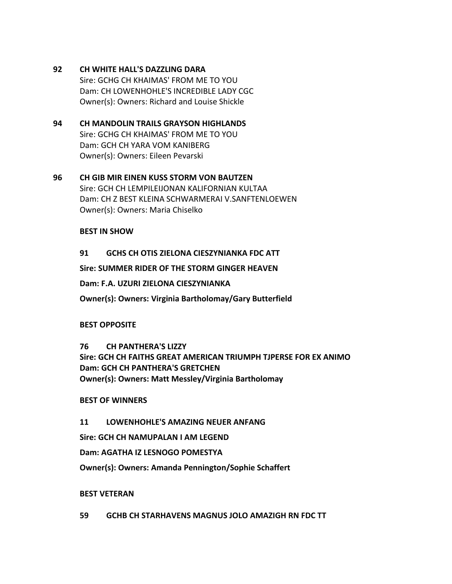## **92 CH WHITE HALL'S DAZZLING DARA**

Sire: GCHG CH KHAIMAS' FROM ME TO YOU Dam: CH LOWENHOHLE'S INCREDIBLE LADY CGC Owner(s): Owners: Richard and Louise Shickle

## **94 CH MANDOLIN TRAILS GRAYSON HIGHLANDS** Sire: GCHG CH KHAIMAS' FROM ME TO YOU Dam: GCH CH YARA VOM KANIBERG

Owner(s): Owners: Eileen Pevarski

## **96 CH GIB MIR EINEN KUSS STORM VON BAUTZEN** Sire: GCH CH LEMPILEIJONAN KALIFORNIAN KULTAA Dam: CH Z BEST KLEINA SCHWARMERAI V.SANFTENLOEWEN Owner(s): Owners: Maria Chiselko

## **BEST IN SHOW**

## **91 GCHS CH OTIS ZIELONA CIESZYNIANKA FDC ATT**

**Sire: SUMMER RIDER OF THE STORM GINGER HEAVEN**

**Dam: F.A. UZURI ZIELONA CIESZYNIANKA**

**Owner(s): Owners: Virginia Bartholomay/Gary Butterfield**

#### **BEST OPPOSITE**

**76 CH PANTHERA'S LIZZY Sire: GCH CH FAITHS GREAT AMERICAN TRIUMPH TJPERSE FOR EX ANIMO Dam: GCH CH PANTHERA'S GRETCHEN Owner(s): Owners: Matt Messley/Virginia Bartholomay**

**BEST OF WINNERS**

## **11 LOWENHOHLE'S AMAZING NEUER ANFANG**

**Sire: GCH CH NAMUPALAN I AM LEGEND**

**Dam: AGATHA IZ LESNOGO POMESTYA**

**Owner(s): Owners: Amanda Pennington/Sophie Schaffert**

#### **BEST VETERAN**

**59 GCHB CH STARHAVENS MAGNUS JOLO AMAZIGH RN FDC TT**